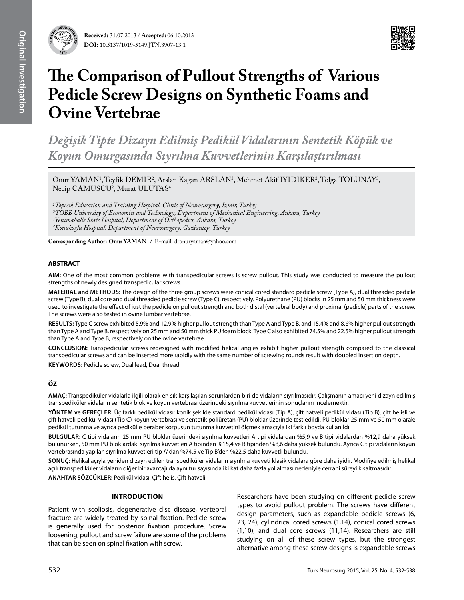

# **The Comparison of Pullout Strengths of Various Pedicle Screw Designs on Synthetic Foams and Ovine Vertebrae**

*Değişik Tipte Dizayn Edilmiş Pedikül Vidalarının Sentetik Köpük ve Koyun Omurgasında Sıyrılma Kuvvetlerinin Karşılaştırılması*

Onur YAMAN<sup>1</sup>, Teyfik DEMIR<sup>2</sup>, Arslan Kagan ARSLAN<sup>3</sup>, Mehmet Akif IYIDIKER<sup>2</sup>, Tolga TOLUNAY<sup>3</sup>, Necip CAMUSCU<sup>2</sup>, Murat ULUTAS<sup>4</sup>

*1Tepecik Education and Training Hospital, Clinic of Neurosurgery, Izmir, Turkey 2TOBB University of Economics and Technology, Department of Mechanical Engineering, Ankara, Turkey 3Yenimahalle State Hospital, Department of Orthopedics, Ankara, Turkey 4Konukoglu Hospital, Department of Neurosurgery, Gaziantep, Turkey*

**Corresponding Author: Onur Yaman /** E-mail: dronuryaman@yahoo.com

## **ABSTRACT**

**AIm:** One of the most common problems with transpedicular screws is screw pullout. This study was conducted to measure the pullout strengths of newly designed transpedicular screws.

**MaterIal and Methods:** The design of the three group screws were conical cored standard pedicle screw (Type A), dual threaded pedicle screw (Type B), dual core and dual threaded pedicle screw (Type C), respectively. Polyurethane (PU) blocks in 25 mm and 50 mm thickness were used to investigate the effect of just the pedicle on pullout strength and both distal (vertebral body) and proximal (pedicle) parts of the screw. The screws were also tested in ovine lumbar vertebrae.

**Results:** Type C screw exhibited 5.9% and 12.9% higher pullout strength than Type A and Type B, and 15.4% and 8.6% higher pullout strength than Type A and Type B, respectively on 25 mm and 50 mm thick PU foam block. Type C also exhibited 74.5% and 22.5% higher pullout strength than Type A and Type B, respectively on the ovine vertebrae.

**ConclusIon:** Transpedicular screws redesigned with modified helical angles exhibit higher pullout strength compared to the classical transpedicular screws and can be inserted more rapidly with the same number of screwing rounds result with doubled insertion depth.

**Keywords:** Pedicle screw, Dual lead, Dual thread

## **ÖZ**

**AMAÇ:** Transpediküler vidalarla ilgili olarak en sık karşılaşılan sorunlardan biri de vidaların sıyrılmasıdır. Çalışmanın amacı yeni dizayn edilmiş transpediküler vidaların sentetik blok ve koyun vertebrası üzerindeki sıyrılma kuvvetlerinin sonuçlarını incelemektir.

**YÖNTEM ve GEREÇLER:** Üç farklı pedikül vidası; konik şekilde standard pedikül vidası (Tip A), çift hatveli pedikül vidası (Tip B), çift helisli ve çift hatveli pedikül vidası (Tip C) koyun vertebrası ve sentetik poliüretan (PU) bloklar üzerinde test edildi. PU bloklar 25 mm ve 50 mm olarak; pedikül tutunma ve ayrıca pedikülle beraber korpusun tutunma kuvvetini ölçmek amacıyla iki farklı boyda kullanıldı.

**BULGULAR:** C tipi vidaların 25 mm PU bloklar üzerindeki sıyrılma kuvvetleri A tipi vidalardan %5,9 ve B tipi vidalardan %12,9 daha yüksek bulunurken, 50 mm PU bloklardaki sıyrılma kuvvetleri A tipinden %15,4 ve B tipinden %8,6 daha yüksek bulundu. Ayrıca C tipi vidaların koyun vertebrasında yapılan sıyrılma kuvvetleri tip A' dan %74,5 ve Tip B'den %22,5 daha kuvvetli bulundu.

**SONUÇ:** Helikal açıyla yeniden dizayn edilen transpediküler vidaların sıyrılma kuvveti klasik vidalara göre daha iyidir. Modifiye edilmiş helikal açılı transpediküler vidaların diğer bir avantajı da aynı tur sayısında iki kat daha fazla yol alması nedeniyle cerrahi süreyi kısaltmasıdır. **ANAHTAR SÖZCÜKLER:** Pedikül vidası, Çift helis, Çift hatveli

## **Introduction**

Patient with scoliosis, degenerative disc disease, vertebral fracture are widely treated by spinal fixation. Pedicle screw is generally used for posterior fixation procedure. Screw loosening, pullout and screw failure are some of the problems that can be seen on spinal fixation with screw.

Researchers have been studying on different pedicle screw types to avoid pullout problem. The screws have different design parameters, such as expandable pedicle screws (6, 23, 24), cylindrical cored screws (1,14), conical cored screws (1,10), and dual core screws (11,14). Researchers are still studying on all of these screw types, but the strongest alternative among these screw designs is expandable screws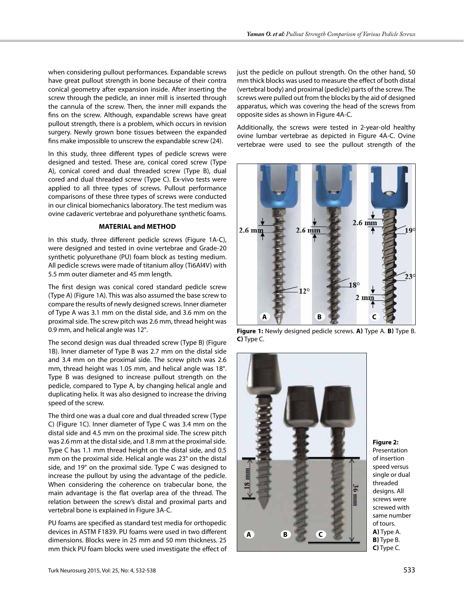when considering pullout performances. Expandable screws have great pullout strength in bone because of their contra conical geometry after expansion inside. After inserting the screw through the pedicle, an inner mill is inserted through the cannula of the screw. Then, the inner mill expands the fins on the screw. Although, expandable screws have great pullout strength, there is a problem, which occurs in revision surgery. Newly grown bone tissues between the expanded fins make impossible to unscrew the expandable screw (24).

In this study, three different types of pedicle screws were designed and tested. These are, conical cored screw (Type A), conical cored and dual threaded screw (Type B), dual cored and dual threaded screw (Type C). Ex-vivo tests were applied to all three types of screws. Pullout performance comparisons of these three types of screws were conducted in our clinical biomechanics laboratory. The test medium was ovine cadaveric vertebrae and polyurethane synthetic foams.

## **Material and Method**

In this study, three different pedicle screws (Figure 1A-C), were designed and tested in ovine vertebrae and Grade-20 synthetic polyurethane (PU) foam block as testing medium. All pedicle screws were made of titanium alloy (Ti6Al4V) with 5.5 mm outer diameter and 45 mm length.

The first design was conical cored standard pedicle screw (Type A) (Figure 1A). This was also assumed the base screw to compare the results of newly designed screws. Inner diameter of Type A was 3.1 mm on the distal side, and 3.6 mm on the proximal side. The screw pitch was 2.6 mm, thread height was 0.9 mm, and helical angle was 12°.

The second design was dual threaded screw (Type B) (Figure 1B). Inner diameter of Type B was 2.7 mm on the distal side and 3.4 mm on the proximal side. The screw pitch was 2.6 mm, thread height was 1.05 mm, and helical angle was 18°. Type B was designed to increase pullout strength on the pedicle, compared to Type A, by changing helical angle and duplicating helix. It was also designed to increase the driving speed of the screw.

The third one was a dual core and dual threaded screw (Type C) (Figure 1C). Inner diameter of Type C was 3.4 mm on the distal side and 4.5 mm on the proximal side. The screw pitch was 2.6 mm at the distal side, and 1.8 mm at the proximal side. Type C has 1.1 mm thread height on the distal side, and 0.5 mm on the proximal side. Helical angle was 23° on the distal side, and 19° on the proximal side. Type C was designed to increase the pullout by using the advantage of the pedicle. When considering the coherence on trabecular bone, the main advantage is the flat overlap area of the thread. The relation between the screw's distal and proximal parts and vertebral bone is explained in Figure 3A-C.

PU foams are specified as standard test media for orthopedic devices in ASTM F1839. PU foams were used in two different dimensions. Blocks were in 25 mm and 50 mm thickness. 25 mm thick PU foam blocks were used investigate the effect of just the pedicle on pullout strength. On the other hand, 50 mm thick blocks was used to measure the effect of both distal (vertebral body) and proximal (pedicle) parts of the screw. The screws were pulled out from the blocks by the aid of designed apparatus, which was covering the head of the screws from opposite sides as shown in Figure 4A-C.

Additionally, the screws were tested in 2-year-old healthy ovine lumbar vertebrae as depicted in Figure 4A-C. Ovine vertebrae were used to see the pullout strength of the



**Figure 1:** Newly designed pedicle screws. **a)** Type A. **b)** Type B. **c)** Type C.



#### **Figure 2:**

Presentation of insertion speed versus single or dual threaded designs. All screws were screwed with same number of tours. **a)** Type A. **b)** Type B. **c)** Type C.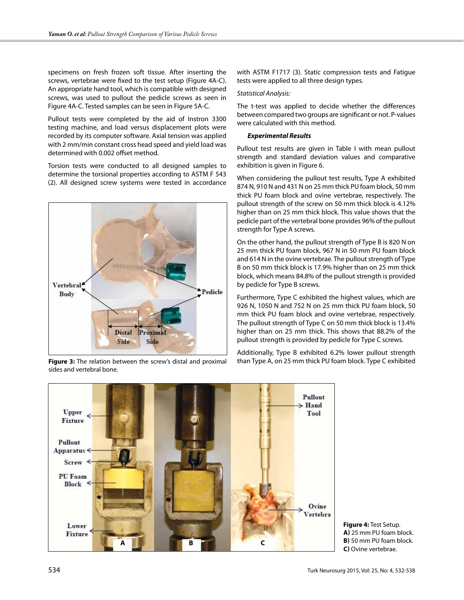specimens on fresh frozen soft tissue. After inserting the screws, vertebrae were fixed to the test setup (Figure 4A-C). An appropriate hand tool, which is compatible with designed screws, was used to pullout the pedicle screws as seen in Figure 4A-C. Tested samples can be seen in Figure 5A-C.

Pullout tests were completed by the aid of Instron 3300 testing machine, and load versus displacement plots were recorded by its computer software. Axial tension was applied with 2 mm/min constant cross head speed and yield load was determined with 0.002 offset method.

Torsion tests were conducted to all designed samples to determine the torsional properties according to ASTM F 543 (2). All designed screw systems were tested in accordance



sides and vertebral bone.

with ASTM F1717 (3). Static compression tests and Fatigue tests were applied to all three design types.

#### *Statistical Analysis:*

The t-test was applied to decide whether the differences between compared two groups are significant or not. P-values were calculated with this method.

#### *Experimental Results*

Pullout test results are given in Table I with mean pullout strength and standard deviation values and comparative exhibition is given in Figure 6.

When considering the pullout test results, Type A exhibited 874 N, 910 N and 431 N on 25 mm thick PU foam block, 50 mm thick PU foam block and ovine vertebrae, respectively. The pullout strength of the screw on 50 mm thick block is 4.12% higher than on 25 mm thick block. This value shows that the pedicle part of the vertebral bone provides 96% of the pullout strength for Type A screws.

On the other hand, the pullout strength of Type B is 820 N on 25 mm thick PU foam block, 967 N in 50 mm PU foam block and 614 N in the ovine vertebrae. The pullout strength of Type B on 50 mm thick block is 17.9% higher than on 25 mm thick block, which means 84.8% of the pullout strength is provided by pedicle for Type B screws.

Furthermore, Type C exhibited the highest values, which are 926 N, 1050 N and 752 N on 25 mm thick PU foam block, 50 mm thick PU foam block and ovine vertebrae, respectively. The pullout strength of Type C on 50 mm thick block is 13.4% higher than on 25 mm thick. This shows that 88.2% of the pullout strength is provided by pedicle for Type C screws.

Additionally, Type B exhibited 6.2% lower pullout strength **Figure 3:** The relation between the screw's distal and proximal than Type A, on 25 mm thick PU foam block. Type C exhibited



**Figure 4:** Test Setup. **a)** 25 mm PU foam block. **B)** 50 mm PU foam block. **c)** Ovine vertebrae.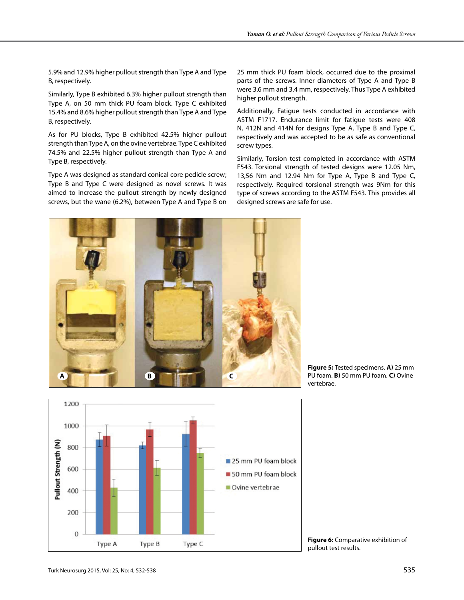Type A

Type B

Type C

1000

800

600

400

200

 $\mathbf 0$ 

Pullout Strength (N)

5.9% and 12.9% higher pullout strength than Type A and Type B, respectively.

Similarly, Type B exhibited 6.3% higher pullout strength than Type A, on 50 mm thick PU foam block. Type C exhibited 15.4% and 8.6% higher pullout strength than Type A and Type B, respectively.

As for PU blocks, Type B exhibited 42.5% higher pullout strength than Type A, on the ovine vertebrae. Type C exhibited 74.5% and 22.5% higher pullout strength than Type A and Type B, respectively.

Type A was designed as standard conical core pedicle screw; Type B and Type C were designed as novel screws. It was aimed to increase the pullout strength by newly designed screws, but the wane (6.2%), between Type A and Type B on 25 mm thick PU foam block, occurred due to the proximal parts of the screws. Inner diameters of Type A and Type B were 3.6 mm and 3.4 mm, respectively. Thus Type A exhibited higher pullout strength.

Additionally, Fatigue tests conducted in accordance with ASTM F1717. Endurance limit for fatigue tests were 408 N, 412N and 414N for designs Type A, Type B and Type C, respectively and was accepted to be as safe as conventional screw types.

Similarly, Torsion test completed in accordance with ASTM F543. Torsional strength of tested designs were 12.05 Nm, 13,56 Nm and 12.94 Nm for Type A, Type B and Type C, respectively. Required torsional strength was 9Nm for this type of screws according to the ASTM F543. This provides all designed screws are safe for use.

**Figure 5:** Tested specimens. **a)** 25 mm PU foam. **b)** 50 mm PU foam. **c)** Ovine vertebrae.

**Figure 6:** Comparative exhibition of pullout test results.

25 mm PU foam block

50 mm PU foam block

Ovine vertebrae

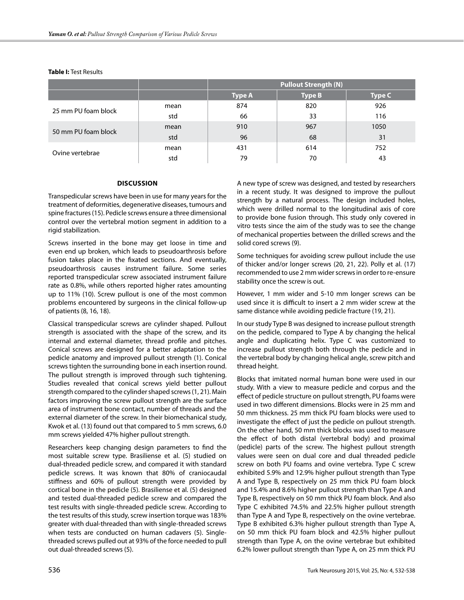#### **Table I:** Test Results

|                     |      | <b>Pullout Strength (N)</b> |               |               |
|---------------------|------|-----------------------------|---------------|---------------|
|                     |      | <b>Type A</b>               | <b>Type B</b> | <b>Type C</b> |
| 25 mm PU foam block | mean | 874                         | 820           | 926           |
|                     | std  | 66                          | 33            | 116           |
| 50 mm PU foam block | mean | 910                         | 967           | 1050          |
|                     | std  | 96                          | 68            | 31            |
| Ovine vertebrae     | mean | 431                         | 614           | 752           |
|                     | std  | 79                          | 70            | 43            |

#### **Discussion**

Transpedicular screws have been in use for many years for the treatment of deformities, degenerative diseases, tumours and spine fractures (15). Pedicle screws ensure a three dimensional control over the vertebral motion segment in addition to a rigid stabilization.

Screws inserted in the bone may get loose in time and even end up broken, which leads to pseudoarthrosis before fusion takes place in the fixated sections. And eventually, pseudoarthrosis causes instrument failure. Some series reported transpedicular screw associated instrument failure rate as 0.8%, while others reported higher rates amounting up to 11% (10). Screw pullout is one of the most common problems encountered by surgeons in the clinical follow-up of patients (8, 16, 18).

Classical transpedicular screws are cylinder shaped. Pullout strength is associated with the shape of the screw, and its internal and external diameter, thread profile and pitches. Conical screws are designed for a better adaptation to the pedicle anatomy and improved pullout strength (1). Conical screws tighten the surrounding bone in each insertion round. The pullout strength is improved through such tightening. Studies revealed that conical screws yield better pullout strength compared to the cylinder shaped screws (1, 21). Main factors improving the screw pullout strength are the surface area of instrument bone contact, number of threads and the external diameter of the screw. In their biomechanical study, Kwok et al. (13) found out that compared to 5 mm screws, 6.0 mm screws yielded 47% higher pullout strength.

Researchers keep changing design parameters to find the most suitable screw type. Brasiliense et al. (5) studied on dual-threaded pedicle screw, and compared it with standard pedicle screws. It was known that 80% of craniocaudal stiffness and 60% of pullout strength were provided by cortical bone in the pedicle (5). Brasiliense et al. (5) designed and tested dual-threaded pedicle screw and compared the test results with single-threaded pedicle screw. According to the test results of this study, screw insertion torque was 183% greater with dual-threaded than with single-threaded screws when tests are conducted on human cadavers (5). Singlethreaded screws pulled out at 93% of the force needed to pull out dual-threaded screws (5).

A new type of screw was designed, and tested by researchers in a recent study. It was designed to improve the pullout strength by a natural process. The design included holes, which were drilled normal to the longitudinal axis of core to provide bone fusion through. This study only covered in vitro tests since the aim of the study was to see the change of mechanical properties between the drilled screws and the solid cored screws (9).

Some techniques for avoiding screw pullout include the use of thicker and/or longer screws (20, 21, 22). Polly et al. (17) recommended to use 2 mm wider screws in order to re-ensure stability once the screw is out.

However, 1 mm wider and 5-10 mm longer screws can be used since it is difficult to insert a 2 mm wider screw at the same distance while avoiding pedicle fracture (19, 21).

In our study Type B was designed to increase pullout strength on the pedicle, compared to Type A by changing the helical angle and duplicating helix. Type C was customized to increase pullout strength both through the pedicle and in the vertebral body by changing helical angle, screw pitch and thread height.

Blocks that imitated normal human bone were used in our study. With a view to measure pedicle and corpus and the effect of pedicle structure on pullout strength, PU foams were used in two different dimensions. Blocks were in 25 mm and 50 mm thickness. 25 mm thick PU foam blocks were used to investigate the effect of just the pedicle on pullout strength. On the other hand, 50 mm thick blocks was used to measure the effect of both distal (vertebral body) and proximal (pedicle) parts of the screw. The highest pullout strength values were seen on dual core and dual threaded pedicle screw on both PU foams and ovine vertebra. Type C screw exhibited 5.9% and 12.9% higher pullout strength than Type A and Type B, respectively on 25 mm thick PU foam block and 15.4% and 8.6% higher pullout strength than Type A and Type B, respectively on 50 mm thick PU foam block. And also Type C exhibited 74.5% and 22.5% higher pullout strength than Type A and Type B, respectively on the ovine vertebrae. Type B exhibited 6.3% higher pullout strength than Type A, on 50 mm thick PU foam block and 42.5% higher pullout strength than Type A, on the ovine vertebrae but exhibited 6.2% lower pullout strength than Type A, on 25 mm thick PU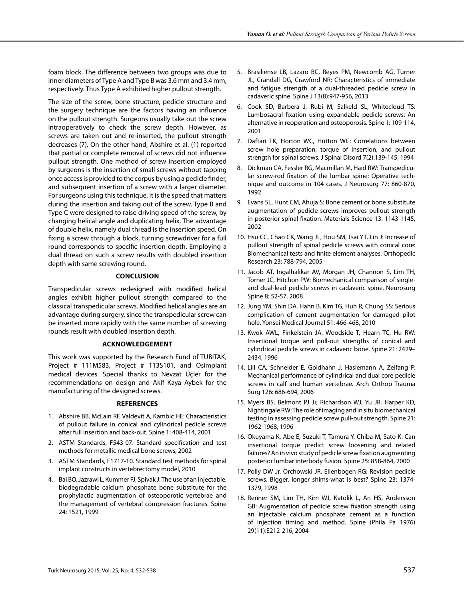foam block. The difference between two groups was due to inner diameters of Type A and Type B was 3.6 mm and 3.4 mm, respectively. Thus Type A exhibited higher pullout strength.

The size of the screw, bone structure, pedicle structure and the surgery technique are the factors having an influence on the pullout strength. Surgeons usually take out the screw intraoperatively to check the screw depth. However, as screws are taken out and re-inserted, the pullout strength decreases (7). On the other hand, Abshire et al. (1) reported that partial or complete removal of screws did not influence pullout strength. One method of screw insertion employed by surgeons is the insertion of small screws without tapping once access is provided to the corpus by using a pedicle finder, and subsequent insertion of a screw with a larger diameter. For surgeons using this technique, it is the speed that matters during the insertion and taking out of the screw. Type B and Type C were designed to raise driving speed of the screw, by changing helical angle and duplicating helix. The advantage of double helix, namely dual thread is the insertion speed. On fixing a screw through a block, turning screwdriver for a full round corresponds to specific insertion depth. Employing a dual thread on such a screw results with doubled insertion depth with same screwing round.

### **Conclusion**

Transpedicular screws redesigned with modified helical angles exhibit higher pullout strength compared to the classical transpedicular screws. Modified helical angles are an advantage during surgery, since the transpedicular screw can be inserted more rapidly with the same number of screwing rounds result with doubled insertion depth.

#### **Acknowledgement**

This work was supported by the Research Fund of TUBİTAK, Project # 111M583, Project # 113S101, and Osimplant medical devices. Special thanks to Nevzat Üçler for the recommendations on design and Akif Kaya Aybek for the manufacturing of the designed screws.

#### **References**

- 1. Abshire BB, McLain RF, Valdevit A, Kambic HE: Characteristics of pullout failure in conical and cylindrical pedicle screws after full insertion and back-out. Spine 1: 408-414, 2001
- 2. ASTM Standards, F543-07. Standard specification and test methods for metallic medical bone screws, 2002
- 3. ASTM Standards, F1717-10. Standard test methods for spinal implant constructs in vertebrectomy model, 2010
- 4. Bai BO, Jazrawi L, Kummer FJ, Spivak J: The use of an injectable, biodegradable calcium phosphate bone substitute for the prophylactic augmentation of osteoporotic vertebrae and the management of vertebral compression fractures. Spine 24: 1521, 1999
- 5. Brasiliense LB, Lazaro BC, Reyes PM, Newcomb AG, Turner JL, Crandall DG, Crawford NR: Characteristics of immediate and fatigue strength of a dual-threaded pedicle screw in cadaveric spine. Spine J 13(8):947-956, 2013
- 6. Cook SD, Barbera J, Rubi M, Salkeld SL, Whitecloud TS: Lumbosacral fixation using expandable pedicle screws: An alternative in reoperation and osteoporosis. Spine 1: 109-114, 2001
- 7. Daftari TK, Horton WC, Hutton WC: Correlations between screw hole preparation, torque of insertion, and pullout strength for spinal screws. J Spinal Disord 7(2):139-145, 1994
- 8. Dickman CA, Fessler RG, Macmillan M, Haid RW: Transpedicular screw-rod fixation of the lumbar spine: Operative technique and outcome in 104 cases. J Neurosurg 77: 860-870, 1992
- 9. Evans SL, Hunt CM, Ahuja S: Bone cement or bone substitute augmentation of pedicle screws improves pullout strength in posterior spinal fixation. Materials Science 13: 1143-1145, 2002
- 10. Hsu CC, Chao CK, Wang JL, Hou SM, Tsai YT, Lin J: Increase of pullout strength of spinal pedicle screws with conical core: Biomechanical tests and finite element analyses. Orthopedic Research 23: 788-794, 2005
- 11. Jacob AT, Ingalhalikar AV, Morgan JH, Channon S, Lim TH, Torner JC, Hitchon PW: Biomechanical comparison of singleand dual-lead pedicle screws in cadaveric spine. Neurosurg Spine 8: 52-57, 2008
- 12. Jung YM, Shin DA, Hahn B, Kim TG, Huh R, Chung SS: Serious complication of cement augmentation for damaged pilot hole. Yonsei Medical Journal 51: 466-468, 2010
- 13. Kwok AWL, Finkelstein JA, Woodside T, Hearn TC, Hu RW: Insertional torque and pull-out strengths of conical and cylindrical pedicle screws in cadaveric bone. Spine 21: 2429– 2434, 1996
- 14. Lill CA, Schneider E, Goldhahn J, Haslemann A, Zeifang F: Mechanical performance of cylindrical and dual core pedicle screws in calf and human vertebrae. Arch Orthop Trauma Surg 126: 686-694, 2006
- 15. Myers BS, Belmont PJ Jr, Richardson WJ, Yu JR, Harper KD, Nightingale RW: The role of imaging and in situ biomechanical testing in assessing pedicle screw pull-out strength. Spine 21: 1962-1968, 1996
- 16. Okuyama K, Abe E, Suzuki T, Tamura Y, Chiba M, Sato K: Can insertional torque predict screw loosening and related failures? An in vivo study of pedicle screw fixation augmenting posterior lumbar interbody fusion. Spine 25: 858-864, 2000
- 17. Polly DW Jr, Orchowski JR, Ellenbogen RG: Revision pedicle screws. Bigger, longer shims-what is best? Spine 23: 1374- 1379, 1998
- 18. Renner SM, Lim TH, Kim WJ, Katolik L, An HS, Andersson GB: Augmentation of pedicle screw fixation strength using an injectable calcium phosphate cement as a function of injection timing and method. Spine (Phila Pa 1976) 29(11):E212-216, 2004